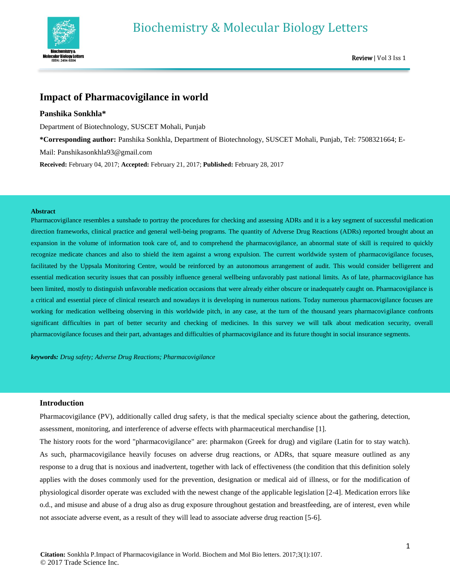

# **Impact of Pharmacovigilance in world**

# **Panshika Sonkhla\***

Department of Biotechnology, SUSCET Mohali, Punjab

**\*Corresponding author:** Panshika Sonkhla, Department of Biotechnology, SUSCET Mohali, Punjab, Tel: 7508321664; E-

Mail: Panshikasonkhla93@gmail.com

**Received:** February 04, 2017; **Accepted:** February 21, 2017; **Published:** February 28, 2017

#### **Abstract**

Pharmacovigilance resembles a sunshade to portray the procedures for checking and assessing ADRs and it is a key segment of successful medication direction frameworks, clinical practice and general well-being programs. The quantity of Adverse Drug Reactions (ADRs) reported brought about an expansion in the volume of information took care of, and to comprehend the pharmacovigilance, an abnormal state of skill is required to quickly recognize medicate chances and also to shield the item against a wrong expulsion. The current worldwide system of pharmacovigilance focuses, facilitated by the Uppsala Monitoring Centre, would be reinforced by an autonomous arrangement of audit. This would consider belligerent and essential medication security issues that can possibly influence general wellbeing unfavorably past national limits. As of late, pharmacovigilance has been limited, mostly to distinguish unfavorable medication occasions that were already either obscure or inadequately caught on. Pharmacovigilance is a critical and essential piece of clinical research and nowadays it is developing in numerous nations. Today numerous pharmacovigilance focuses are working for medication wellbeing observing in this worldwide pitch, in any case, at the turn of the thousand years pharmacovigilance confronts significant difficulties in part of better security and checking of medicines. In this survey we will talk about medication security, overall pharmacovigilance focuses and their part, advantages and difficulties of pharmacovigilance and its future thought in social insurance segments.

*keywords: Drug safety; Adverse Drug Reactions; Pharmacovigilance*

## **Introduction**

Pharmacovigilance (PV), additionally called drug safety, is that the medical specialty science about the gathering, detection, assessment, monitoring, and interference of adverse effects with pharmaceutical merchandise [1].

The history roots for the word "pharmacovigilance" are: pharmakon (Greek for drug) and vigilare (Latin for to stay watch). As such, pharmacovigilance heavily focuses on adverse drug reactions, or ADRs, that square measure outlined as any response to a drug that is noxious and inadvertent, together with lack of effectiveness (the condition that this definition solely applies with the doses commonly used for the prevention, designation or medical aid of illness, or for the modification of physiological disorder operate was excluded with the newest change of the applicable legislation [2-4]. Medication errors like o.d., and misuse and abuse of a drug also as drug exposure throughout gestation and breastfeeding, are of interest, even while not associate adverse event, as a result of they will lead to associate adverse drug reaction [5-6].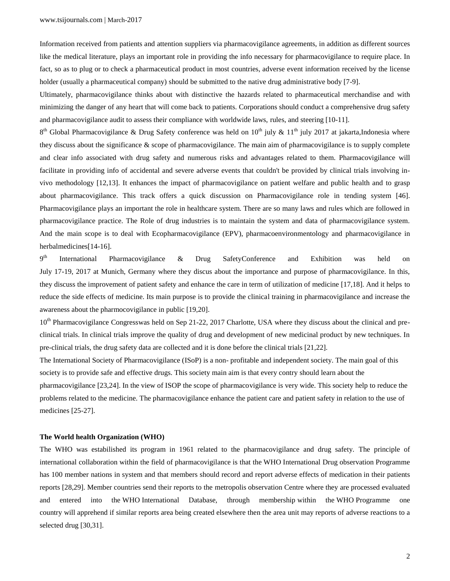Information received from patients and attention suppliers via pharmacovigilance agreements, in addition as different sources like the medical literature, plays an important role in providing the info necessary for pharmacovigilance to require place. In fact, so as to plug or to check a pharmaceutical product in most countries, adverse event information received by the license holder (usually a pharmaceutical company) should be submitted to the native drug administrative body [7-9].

Ultimately, pharmacovigilance thinks about with distinctive the hazards related to pharmaceutical merchandise and with minimizing the danger of any heart that will come back to patients. Corporations should conduct a comprehensive drug safety and pharmacovigilance audit to assess their compliance with worldwide laws, rules, and steering [10-11].

 $8<sup>th</sup>$  Global Pharmacovigilance & Drug Safety conference was held on  $10<sup>th</sup>$  july &  $11<sup>th</sup>$  july 2017 at jakarta,Indonesia where they discuss about the significance & scope of pharmacovigilance. The main aim of pharmacovigilance is to supply complete and clear info associated with drug safety and numerous risks and advantages related to them. Pharmacovigilance will facilitate in providing info of accidental and severe adverse events that couldn't be provided by clinical trials involving invivo methodology [12,13]. It enhances the impact of pharmacovigilance on patient welfare and public health and to grasp about pharmacovigilance. This track offers a quick discussion on Pharmacovigilance role in tending system [46]. Pharmacovigilance plays an important the role in healthcare system. There are so many laws and rules which are followed in pharmacovigilance practice. The Role of drug industries is to maintain the system and data of pharmacovigilance system. And the main scope is to deal with Ecopharmacovigilance (EPV), pharmacoenvironmentology and pharmacovigilance in herbalmedicines<sup>[14-16]</sup>.

9<sup>th</sup> th International Pharmacovigilance & Drug SafetyConference and Exhibition was held on July 17-19, 2017 at Munich, Germany where they discus about the importance and purpose of pharmacovigilance. In this, they discuss the improvement of patient safety and enhance the care in term of utilization of medicine [17,18]. And it helps to reduce the side effects of medicine. Its main purpose is to provide the clinical training in pharmacovigilance and increase the awareness about the pharmocovigilance in public [19,20].

10<sup>th</sup> Pharmacovigilance Congresswas held on Sep 21-22, 2017 Charlotte, USA where they discuss about the clinical and preclinical trials. In clinical trials improve the quality of drug and development of new medicinal product by new techniques. In pre-clinical trials, the drug safety data are collected and it is done before the clinical trials [21,22].

The International Society of Pharmacovigilance (ISoP) is a non- profitable and independent society. The main goal of this society is to provide safe and effective drugs. This society main aim is that every contry should learn about the

pharmacovigilance [23,24]. In the view of ISOP the scope of pharmacovigilance is very wide. This society help to reduce the problems related to the medicine. The pharmacovigilance enhance the patient care and patient safety in relation to the use of medicines [25-27].

#### **The World health Organization (WHO)**

The WHO was estabilished its program in 1961 related to the pharmacovigilance and drug safety. The principle of international collaboration within the field of pharmacovigilance is that the WHO International Drug observation Programme has 100 member nations in system and that members should record and report adverse effects of medication in their patients reports [28,29]. Member countries send their reports to the metropolis observation Centre where they are processed evaluated and entered into the WHO International Database, through membership within the WHO Programme one country will apprehend if similar reports area being created elsewhere then the area unit may reports of adverse reactions to a selected drug [30,31].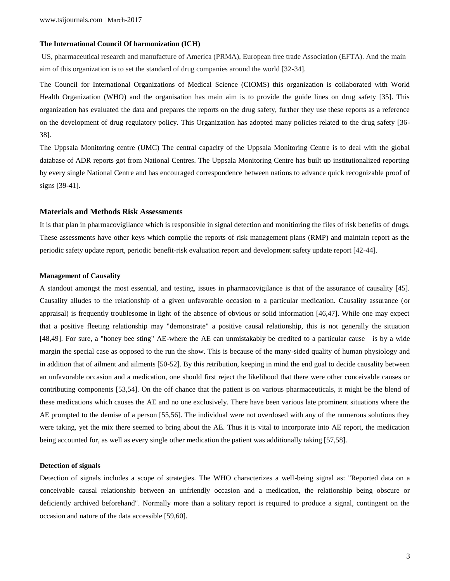## **The International Council Of harmonization (ICH)**

US, pharmaceutical research and manufacture of America (PRMA), European free trade Association (EFTA). And the main aim of this organization is to set the standard of drug companies around the world [32-34].

The Council for International Organizations of Medical Science (CIOMS) this organization is collaborated with World Health Organization (WHO) and the organisation has main aim is to provide the guide lines on drug safety [35]. This organization has evaluated the data and prepares the reports on the drug safety, further they use these reports as a reference on the development of drug regulatory policy. This Organization has adopted many policies related to the drug safety [36- 38].

The Uppsala Monitoring centre (UMC) The central capacity of the Uppsala Monitoring Centre is to deal with the global database of ADR reports got from National Centres. The Uppsala Monitoring Centre has built up institutionalized reporting by every single National Centre and has encouraged correspondence between nations to advance quick recognizable proof of signs [39-41].

#### **Materials and Methods Risk Assessments**

It is that plan in pharmacovigilance which is responsible in signal detection and monitioring the files of risk benefits of drugs. These assessments have other keys which compile the reports of risk management plans (RMP) and maintain report as the periodic safety update report, periodic benefit-risk evaluation report and development safety update report [42-44].

#### **Management of Causality**

A standout amongst the most essential, and testing, issues in pharmacovigilance is that of the assurance of causality [45]. Causality alludes to the relationship of a given unfavorable occasion to a particular medication. Causality assurance (or appraisal) is frequently troublesome in light of the absence of obvious or solid information [46,47]. While one may expect that a positive fleeting relationship may "demonstrate" a positive causal relationship, this is not generally the situation [48,49]. For sure, a "honey bee sting" AE-where the AE can unmistakably be credited to a particular cause—is by a wide margin the special case as opposed to the run the show. This is because of the many-sided quality of human physiology and in addition that of ailment and ailments [50-52]. By this retribution, keeping in mind the end goal to decide causality between an unfavorable occasion and a medication, one should first reject the likelihood that there were other conceivable causes or contributing components [53,54]. On the off chance that the patient is on various pharmaceuticals, it might be the blend of these medications which causes the AE and no one exclusively. There have been various late prominent situations where the AE prompted to the demise of a person [55,56]. The individual were not overdosed with any of the numerous solutions they were taking, yet the mix there seemed to bring about the AE. Thus it is vital to incorporate into AE report, the medication being accounted for, as well as every single other medication the patient was additionally taking [57,58].

#### **Detection of signals**

Detection of signals includes a scope of strategies. The WHO characterizes a well-being signal as: "Reported data on a conceivable causal relationship between an unfriendly occasion and a medication, the relationship being obscure or deficiently archived beforehand". Normally more than a solitary report is required to produce a signal, contingent on the occasion and nature of the data accessible [59,60].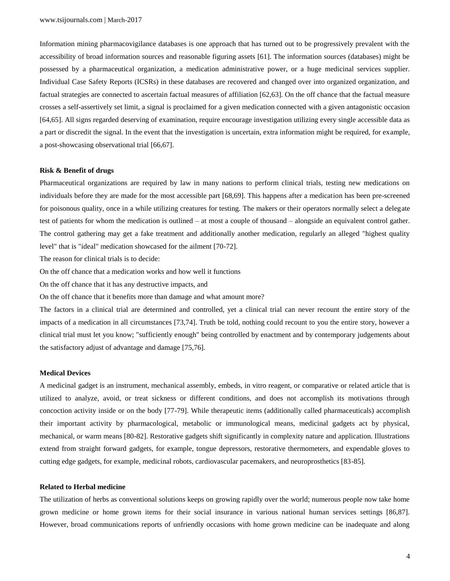Information mining pharmacovigilance databases is one approach that has turned out to be progressively prevalent with the accessibility of broad information sources and reasonable figuring assets [61]. The information sources (databases) might be possessed by a pharmaceutical organization, a medication administrative power, or a huge medicinal services supplier. Individual Case Safety Reports (ICSRs) in these databases are recovered and changed over into organized organization, and factual strategies are connected to ascertain factual measures of affiliation [62,63]. On the off chance that the factual measure crosses a self-assertively set limit, a signal is proclaimed for a given medication connected with a given antagonistic occasion [64,65]. All signs regarded deserving of examination, require encourage investigation utilizing every single accessible data as a part or discredit the signal. In the event that the investigation is uncertain, extra information might be required, for example, a post-showcasing observational trial [66,67].

## **Risk & Benefit of drugs**

Pharmaceutical organizations are required by law in many nations to perform clinical trials, testing new medications on individuals before they are made for the most accessible part [68,69]. This happens after a medication has been pre-screened for poisonous quality, once in a while utilizing creatures for testing. The makers or their operators normally select a delegate test of patients for whom the medication is outlined – at most a couple of thousand – alongside an equivalent control gather. The control gathering may get a fake treatment and additionally another medication, regularly an alleged "highest quality level" that is "ideal" medication showcased for the ailment [70-72].

The reason for clinical trials is to decide:

On the off chance that a medication works and how well it functions

On the off chance that it has any destructive impacts, and

On the off chance that it benefits more than damage and what amount more?

The factors in a clinical trial are determined and controlled, yet a clinical trial can never recount the entire story of the impacts of a medication in all circumstances [73,74]. Truth be told, nothing could recount to you the entire story, however a clinical trial must let you know; "sufficiently enough" being controlled by enactment and by contemporary judgements about the satisfactory adjust of advantage and damage [75,76].

## **Medical Devices**

A medicinal gadget is an instrument, mechanical assembly, embeds, in vitro reagent, or comparative or related article that is utilized to analyze, avoid, or treat sickness or different conditions, and does not accomplish its motivations through concoction activity inside or on the body [77-79]. While therapeutic items (additionally called pharmaceuticals) accomplish their important activity by pharmacological, metabolic or immunological means, medicinal gadgets act by physical, mechanical, or warm means [80-82]. Restorative gadgets shift significantly in complexity nature and application. Illustrations extend from straight forward gadgets, for example, tongue depressors, restorative thermometers, and expendable gloves to cutting edge gadgets, for example, medicinal robots, cardiovascular pacemakers, and neuroprosthetics [83-85].

#### **Related to Herbal medicine**

The utilization of herbs as conventional solutions keeps on growing rapidly over the world; numerous people now take home grown medicine or home grown items for their social insurance in various national human services settings [86,87]. However, broad communications reports of unfriendly occasions with home grown medicine can be inadequate and along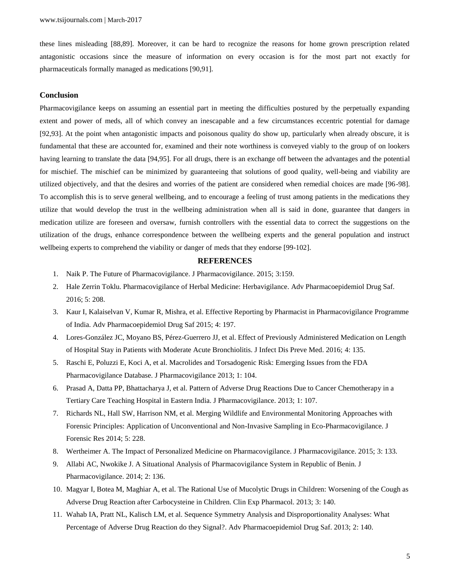these lines misleading [88,89]. Moreover, it can be hard to recognize the reasons for home grown prescription related antagonistic occasions since the measure of information on every occasion is for the most part not exactly for pharmaceuticals formally managed as medications [90,91].

## **Conclusion**

Pharmacovigilance keeps on assuming an essential part in meeting the difficulties postured by the perpetually expanding extent and power of meds, all of which convey an inescapable and a few circumstances eccentric potential for damage [92,93]. At the point when antagonistic impacts and poisonous quality do show up, particularly when already obscure, it is fundamental that these are accounted for, examined and their note worthiness is conveyed viably to the group of on lookers having learning to translate the data [94,95]. For all drugs, there is an exchange off between the advantages and the potential for mischief. The mischief can be minimized by guaranteeing that solutions of good quality, well-being and viability are utilized objectively, and that the desires and worries of the patient are considered when remedial choices are made [96-98]. To accomplish this is to serve general wellbeing, and to encourage a feeling of trust among patients in the medications they utilize that would develop the trust in the wellbeing administration when all is said in done, guarantee that dangers in medication utilize are foreseen and oversaw, furnish controllers with the essential data to correct the suggestions on the utilization of the drugs, enhance correspondence between the wellbeing experts and the general population and instruct wellbeing experts to comprehend the viability or danger of meds that they endorse [99-102].

#### **REFERENCES**

- 1. Naik P. The Future of Pharmacovigilance. J Pharmacovigilance. 2015; 3:159.
- 2. Hale Zerrin Toklu. Pharmacovigilance of Herbal Medicine: Herbavigilance. Adv Pharmacoepidemiol Drug Saf. 2016; 5: 208.
- 3. Kaur I, Kalaiselvan V, Kumar R, Mishra, et al. Effective Reporting by Pharmacist in Pharmacovigilance Programme of India. Adv Pharmacoepidemiol Drug Saf 2015; 4: 197.
- 4. Lores-González JC, Moyano BS, Pérez-Guerrero JJ, et al. Effect of Previously Administered Medication on Length of Hospital Stay in Patients with Moderate Acute Bronchiolitis. J Infect Dis Preve Med. 2016; 4: 135.
- 5. Raschi E, Poluzzi E, Koci A, et al. Macrolides and Torsadogenic Risk: Emerging Issues from the FDA Pharmacovigilance Database. J Pharmacovigilance 2013; 1: 104.
- 6. Prasad A, Datta PP, Bhattacharya J, et al. Pattern of Adverse Drug Reactions Due to Cancer Chemotherapy in a Tertiary Care Teaching Hospital in Eastern India. J Pharmacovigilance. 2013; 1: 107.
- 7. Richards NL, Hall SW, Harrison NM, et al. Merging Wildlife and Environmental Monitoring Approaches with Forensic Principles: Application of Unconventional and Non-Invasive Sampling in Eco-Pharmacovigilance. J Forensic Res 2014; 5: 228.
- 8. Wertheimer A. The Impact of Personalized Medicine on Pharmacovigilance. J Pharmacovigilance. 2015; 3: 133.
- 9. Allabi AC, Nwokike J. A Situational Analysis of Pharmacovigilance System in Republic of Benin. J Pharmacovigilance. 2014; 2: 136.
- 10. Magyar I, Botea M, Maghiar A, et al. The Rational Use of Mucolytic Drugs in Children: Worsening of the Cough as Adverse Drug Reaction after Carbocysteine in Children. Clin Exp Pharmacol. 2013; 3: 140.
- 11. Wahab IA, Pratt NL, Kalisch LM, et al. Sequence Symmetry Analysis and Disproportionality Analyses: What Percentage of Adverse Drug Reaction do they Signal?. Adv Pharmacoepidemiol Drug Saf. 2013; 2: 140.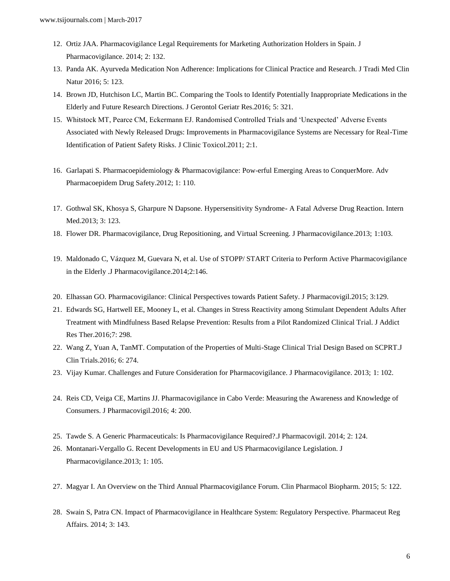- 12. Ortiz JAA. Pharmacovigilance Legal Requirements for Marketing Authorization Holders in Spain. J Pharmacovigilance. 2014; 2: 132.
- 13. Panda AK. Ayurveda Medication Non Adherence: Implications for Clinical Practice and Research. J Tradi Med Clin Natur 2016; 5: 123.
- 14. Brown JD, Hutchison LC, Martin BC. Comparing the Tools to Identify Potentially Inappropriate Medications in the Elderly and Future Research Directions. J Gerontol Geriatr Res.2016; 5: 321.
- 15. Whitstock MT, Pearce CM, Eckermann EJ. Randomised Controlled Trials and 'Unexpected' Adverse Events Associated with Newly Released Drugs: Improvements in Pharmacovigilance Systems are Necessary for Real-Time Identification of Patient Safety Risks. J Clinic Toxicol.2011; 2:1.
- 16. Garlapati S. Pharmacoepidemiology & Pharmacovigilance: Pow-erful Emerging Areas to ConquerMore. Adv Pharmacoepidem Drug Safety.2012; 1: 110.
- 17. Gothwal SK, Khosya S, Gharpure N Dapsone. Hypersensitivity Syndrome- A Fatal Adverse Drug Reaction. Intern Med.2013; 3: 123.
- 18. Flower DR. Pharmacovigilance, Drug Repositioning, and Virtual Screening. J Pharmacovigilance.2013; 1:103.
- 19. Maldonado C, Vázquez M, Guevara N, et al. Use of STOPP/ START Criteria to Perform Active Pharmacovigilance in the Elderly .J Pharmacovigilance.2014;2:146.
- 20. Elhassan GO. Pharmacovigilance: Clinical Perspectives towards Patient Safety. J Pharmacovigil.2015; 3:129.
- 21. Edwards SG, Hartwell EE, Mooney L, et al. Changes in Stress Reactivity among Stimulant Dependent Adults After Treatment with Mindfulness Based Relapse Prevention: Results from a Pilot Randomized Clinical Trial. J Addict Res Ther.2016;7: 298.
- 22. Wang Z, Yuan A, TanMT. Computation of the Properties of Multi-Stage Clinical Trial Design Based on SCPRT.J Clin Trials.2016; 6: 274.
- 23. Vijay Kumar. Challenges and Future Consideration for Pharmacovigilance. J Pharmacovigilance. 2013; 1: 102.
- 24. Reis CD, Veiga CE, Martins JJ. Pharmacovigilance in Cabo Verde: Measuring the Awareness and Knowledge of Consumers. J Pharmacovigil.2016; 4: 200.
- 25. Tawde S. A Generic Pharmaceuticals: Is Pharmacovigilance Required?.J Pharmacovigil. 2014; 2: 124.
- 26. Montanari-Vergallo G. Recent Developments in EU and US Pharmacovigilance Legislation. J Pharmacovigilance.2013; 1: 105.
- 27. Magyar I. An Overview on the Third Annual Pharmacovigilance Forum. Clin Pharmacol Biopharm. 2015; 5: 122.
- 28. Swain S, Patra CN. Impact of Pharmacovigilance in Healthcare System: Regulatory Perspective. Pharmaceut Reg Affairs. 2014; 3: 143.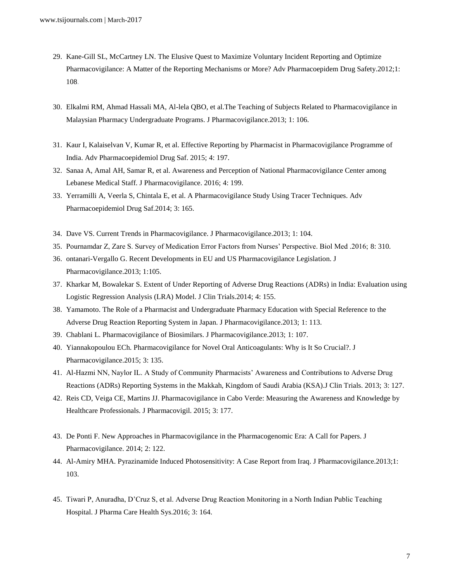- 29. Kane-Gill SL, McCartney LN. The Elusive Quest to Maximize Voluntary Incident Reporting and Optimize Pharmacovigilance: A Matter of the Reporting Mechanisms or More? Adv Pharmacoepidem Drug Safety.2012;1: 108.
- 30. Elkalmi RM, Ahmad Hassali MA, Al-lela QBO, et al.The Teaching of Subjects Related to Pharmacovigilance in Malaysian Pharmacy Undergraduate Programs. J Pharmacovigilance.2013; 1: 106.
- 31. Kaur I, Kalaiselvan V, Kumar R, et al. Effective Reporting by Pharmacist in Pharmacovigilance Programme of India. Adv Pharmacoepidemiol Drug Saf. 2015; 4: 197.
- 32. Sanaa A, Amal AH, Samar R, et al. Awareness and Perception of National Pharmacovigilance Center among Lebanese Medical Staff. J Pharmacovigilance. 2016; 4: 199.
- 33. Yerramilli A, Veerla S, Chintala E, et al. A Pharmacovigilance Study Using Tracer Techniques. Adv Pharmacoepidemiol Drug Saf.2014; 3: 165.
- 34. Dave VS. Current Trends in Pharmacovigilance. J Pharmacovigilance.2013; 1: 104.
- 35. Pournamdar Z, Zare S. Survey of Medication Error Factors from Nurses' Perspective. Biol Med .2016; 8: 310.
- 36. ontanari-Vergallo G. Recent Developments in EU and US Pharmacovigilance Legislation. J Pharmacovigilance.2013; 1:105.
- 37. Kharkar M, Bowalekar S. Extent of Under Reporting of Adverse Drug Reactions (ADRs) in India: Evaluation using Logistic Regression Analysis (LRA) Model. J Clin Trials.2014; 4: 155.
- 38. Yamamoto. The Role of a Pharmacist and Undergraduate Pharmacy Education with Special Reference to the Adverse Drug Reaction Reporting System in Japan. J Pharmacovigilance.2013; 1: 113.
- 39. Chablani L. Pharmacovigilance of Biosimilars. J Pharmacovigilance.2013; 1: 107.
- 40. Yiannakopoulou ECh. Pharmacovigilance for Novel Oral Anticoagulants: Why is It So Crucial?. J Pharmacovigilance.2015; 3: 135.
- 41. Al-Hazmi NN, Naylor IL. A Study of Community Pharmacists' Awareness and Contributions to Adverse Drug Reactions (ADRs) Reporting Systems in the Makkah, Kingdom of Saudi Arabia (KSA).J Clin Trials. 2013; 3: 127.
- 42. Reis CD, Veiga CE, Martins JJ. Pharmacovigilance in Cabo Verde: Measuring the Awareness and Knowledge by Healthcare Professionals. J Pharmacovigil. 2015; 3: 177.
- 43. De Ponti F. New Approaches in Pharmacovigilance in the Pharmacogenomic Era: A Call for Papers. J Pharmacovigilance. 2014; 2: 122.
- 44. Al-Amiry MHA. Pyrazinamide Induced Photosensitivity: A Case Report from Iraq. J Pharmacovigilance.2013;1: 103.
- 45. Tiwari P, Anuradha, D'Cruz S, et al. Adverse Drug Reaction Monitoring in a North Indian Public Teaching Hospital. J Pharma Care Health Sys.2016; 3: 164.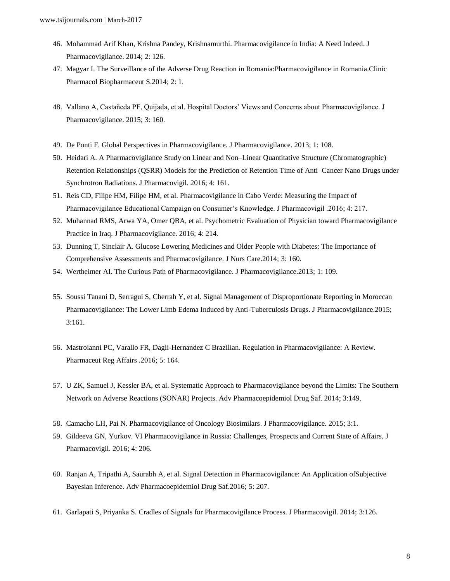- 46. Mohammad Arif Khan, Krishna Pandey, Krishnamurthi. Pharmacovigilance in India: A Need Indeed. J Pharmacovigilance. 2014; 2: 126.
- 47. Magyar I. The Surveillance of the Adverse Drug Reaction in Romania:Pharmacovigilance in Romania.Clinic Pharmacol Biopharmaceut S.2014; 2: 1.
- 48. Vallano A, Castañeda PF, Quijada, et al. Hospital Doctors' Views and Concerns about Pharmacovigilance. J Pharmacovigilance. 2015; 3: 160.
- 49. De Ponti F. Global Perspectives in Pharmacovigilance. J Pharmacovigilance. 2013; 1: 108.
- 50. Heidari A. A Pharmacovigilance Study on Linear and Non–Linear Quantitative Structure (Chromatographic) Retention Relationships (QSRR) Models for the Prediction of Retention Time of Anti–Cancer Nano Drugs under Synchrotron Radiations. J Pharmacovigil. 2016; 4: 161.
- 51. Reis CD, Filipe HM, Filipe HM, et al. Pharmacovigilance in Cabo Verde: Measuring the Impact of Pharmacovigilance Educational Campaign on Consumer's Knowledge. J Pharmacovigil .2016; 4: 217.
- 52. Muhannad RMS, Arwa YA, Omer QBA, et al. Psychometric Evaluation of Physician toward Pharmacovigilance Practice in Iraq. J Pharmacovigilance. 2016; 4: 214.
- 53. Dunning T, Sinclair A. Glucose Lowering Medicines and Older People with Diabetes: The Importance of Comprehensive Assessments and Pharmacovigilance. J Nurs Care.2014; 3: 160.
- 54. Wertheimer AI. The Curious Path of Pharmacovigilance. J Pharmacovigilance.2013; 1: 109.
- 55. Soussi Tanani D, Serragui S, Cherrah Y, et al. Signal Management of Disproportionate Reporting in Moroccan Pharmacovigilance: The Lower Limb Edema Induced by Anti-Tuberculosis Drugs. J Pharmacovigilance.2015; 3:161.
- 56. Mastroianni PC, Varallo FR, Dagli-Hernandez C Brazilian. Regulation in Pharmacovigilance: A Review. Pharmaceut Reg Affairs .2016; 5: 164.
- 57. U ZK, Samuel J, Kessler BA, et al. Systematic Approach to Pharmacovigilance beyond the Limits: The Southern Network on Adverse Reactions (SONAR) Projects. Adv Pharmacoepidemiol Drug Saf. 2014; 3:149.
- 58. Camacho LH, Pai N. Pharmacovigilance of Oncology Biosimilars. J Pharmacovigilance. 2015; 3:1.
- 59. Gildeeva GN, Yurkov. VI Pharmacovigilance in Russia: Challenges, Prospects and Current State of Affairs. J Pharmacovigil. 2016; 4: 206.
- 60. Ranjan A, Tripathi A, Saurabh A, et al. Signal Detection in Pharmacovigilance: An Application ofSubjective Bayesian Inference. Adv Pharmacoepidemiol Drug Saf.2016; 5: 207.
- 61. Garlapati S, Priyanka S. Cradles of Signals for Pharmacovigilance Process. J Pharmacovigil. 2014; 3:126.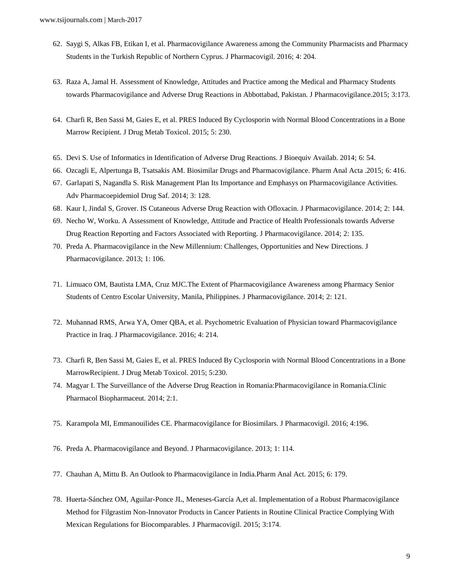- 62. Saygi S, Alkas FB, Etikan I, et al. Pharmacovigilance Awareness among the Community Pharmacists and Pharmacy Students in the Turkish Republic of Northern Cyprus. J Pharmacovigil. 2016; 4: 204.
- 63. Raza A, Jamal H. Assessment of Knowledge, Attitudes and Practice among the Medical and Pharmacy Students towards Pharmacovigilance and Adverse Drug Reactions in Abbottabad, Pakistan. J Pharmacovigilance.2015; 3:173.
- 64. Charfi R, Ben Sassi M, Gaies E, et al. PRES Induced By Cyclosporin with Normal Blood Concentrations in a Bone Marrow Recipient. J Drug Metab Toxicol. 2015; 5: 230.
- 65. Devi S. Use of Informatics in Identification of Adverse Drug Reactions. J Bioequiv Availab. 2014; 6: 54.
- 66. Ozcagli E, Alpertunga B, Tsatsakis AM. Biosimilar Drugs and Pharmacovigilance. Pharm Anal Acta .2015; 6: 416.
- 67. Garlapati S, Nagandla S. Risk Management Plan Its Importance and Emphasys on Pharmacovigilance Activities. Adv Pharmacoepidemiol Drug Saf. 2014; 3: 128.
- 68. Kaur I, Jindal S, Grover. IS Cutaneous Adverse Drug Reaction with Ofloxacin. J Pharmacovigilance. 2014; 2: 144.
- 69. Necho W, Worku. A Assessment of Knowledge, Attitude and Practice of Health Professionals towards Adverse Drug Reaction Reporting and Factors Associated with Reporting. J Pharmacovigilance. 2014; 2: 135.
- 70. Preda A. Pharmacovigilance in the New Millennium: Challenges, Opportunities and New Directions. J Pharmacovigilance. 2013; 1: 106.
- 71. Limuaco OM, Bautista LMA, Cruz MJC.The Extent of Pharmacovigilance Awareness among Pharmacy Senior Students of Centro Escolar University, Manila, Philippines. J Pharmacovigilance. 2014; 2: 121.
- 72. Muhannad RMS, Arwa YA, Omer QBA, et al. Psychometric Evaluation of Physician toward Pharmacovigilance Practice in Iraq. J Pharmacovigilance. 2016; 4: 214.
- 73. Charfi R, Ben Sassi M, Gaies E, et al. PRES Induced By Cyclosporin with Normal Blood Concentrations in a Bone MarrowRecipient. J Drug Metab Toxicol. 2015; 5:230.
- 74. Magyar I. The Surveillance of the Adverse Drug Reaction in Romania:Pharmacovigilance in Romania.Clinic Pharmacol Biopharmaceut. 2014; 2:1.
- 75. Karampola MI, Emmanouilides CE. Pharmacovigilance for Biosimilars. J Pharmacovigil. 2016; 4:196.
- 76. Preda A. Pharmacovigilance and Beyond. J Pharmacovigilance. 2013; 1: 114.
- 77. Chauhan A, Mittu B. An Outlook to Pharmacovigilance in India.Pharm Anal Act. 2015; 6: 179.
- 78. Huerta-Sánchez OM, Aguilar-Ponce JL, Meneses-García A,et al. Implementation of a Robust Pharmacovigilance Method for Filgrastim Non-Innovator Products in Cancer Patients in Routine Clinical Practice Complying With Mexican Regulations for Biocomparables. J Pharmacovigil. 2015; 3:174.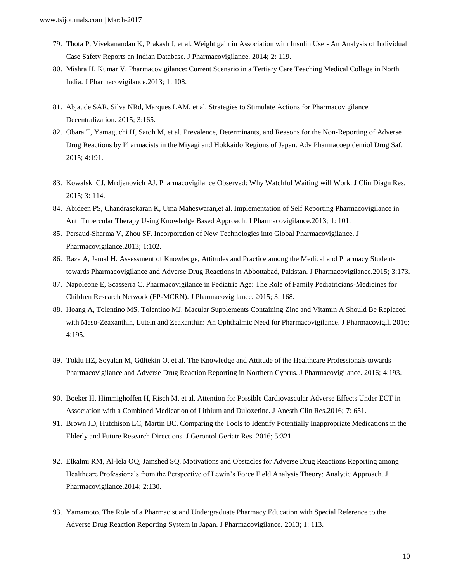- 79. Thota P, Vivekanandan K, Prakash J, et al. Weight gain in Association with Insulin Use An Analysis of Individual Case Safety Reports an Indian Database. J Pharmacovigilance. 2014; 2: 119.
- 80. Mishra H, Kumar V. Pharmacovigilance: Current Scenario in a Tertiary Care Teaching Medical College in North India. J Pharmacovigilance.2013; 1: 108.
- 81. Abjaude SAR, Silva NRd, Marques LAM, et al. Strategies to Stimulate Actions for Pharmacovigilance Decentralization. 2015; 3:165.
- 82. Obara T, Yamaguchi H, Satoh M, et al. Prevalence, Determinants, and Reasons for the Non-Reporting of Adverse Drug Reactions by Pharmacists in the Miyagi and Hokkaido Regions of Japan. Adv Pharmacoepidemiol Drug Saf. 2015; 4:191.
- 83. Kowalski CJ, Mrdjenovich AJ. Pharmacovigilance Observed: Why Watchful Waiting will Work. J Clin Diagn Res. 2015; 3: 114.
- 84. Abideen PS, Chandrasekaran K, Uma Maheswaran,et al. Implementation of Self Reporting Pharmacovigilance in Anti Tubercular Therapy Using Knowledge Based Approach. J Pharmacovigilance.2013; 1: 101.
- 85. Persaud-Sharma V, Zhou SF. Incorporation of New Technologies into Global Pharmacovigilance. J Pharmacovigilance.2013; 1:102.
- 86. Raza A, Jamal H. Assessment of Knowledge, Attitudes and Practice among the Medical and Pharmacy Students towards Pharmacovigilance and Adverse Drug Reactions in Abbottabad, Pakistan. J Pharmacovigilance.2015; 3:173.
- 87. Napoleone E, Scasserra C. Pharmacovigilance in Pediatric Age: The Role of Family Pediatricians-Medicines for Children Research Network (FP-MCRN). J Pharmacovigilance. 2015; 3: 168.
- 88. Hoang A, Tolentino MS, Tolentino MJ. Macular Supplements Containing Zinc and Vitamin A Should Be Replaced with Meso-Zeaxanthin, Lutein and Zeaxanthin: An Ophthalmic Need for Pharmacovigilance. J Pharmacovigil. 2016; 4:195.
- 89. Toklu HZ, Soyalan M, Gültekin O, et al. The Knowledge and Attitude of the Healthcare Professionals towards Pharmacovigilance and Adverse Drug Reaction Reporting in Northern Cyprus. J Pharmacovigilance. 2016; 4:193.
- 90. Boeker H, Himmighoffen H, Risch M, et al. Attention for Possible Cardiovascular Adverse Effects Under ECT in Association with a Combined Medication of Lithium and Duloxetine. J Anesth Clin Res.2016; 7: 651.
- 91. Brown JD, Hutchison LC, Martin BC. Comparing the Tools to Identify Potentially Inappropriate Medications in the Elderly and Future Research Directions. J Gerontol Geriatr Res. 2016; 5:321.
- 92. Elkalmi RM, Al-lela OQ, Jamshed SQ. Motivations and Obstacles for Adverse Drug Reactions Reporting among Healthcare Professionals from the Perspective of Lewin's Force Field Analysis Theory: Analytic Approach. J Pharmacovigilance.2014; 2:130.
- 93. Yamamoto. The Role of a Pharmacist and Undergraduate Pharmacy Education with Special Reference to the Adverse Drug Reaction Reporting System in Japan. J Pharmacovigilance. 2013; 1: 113.